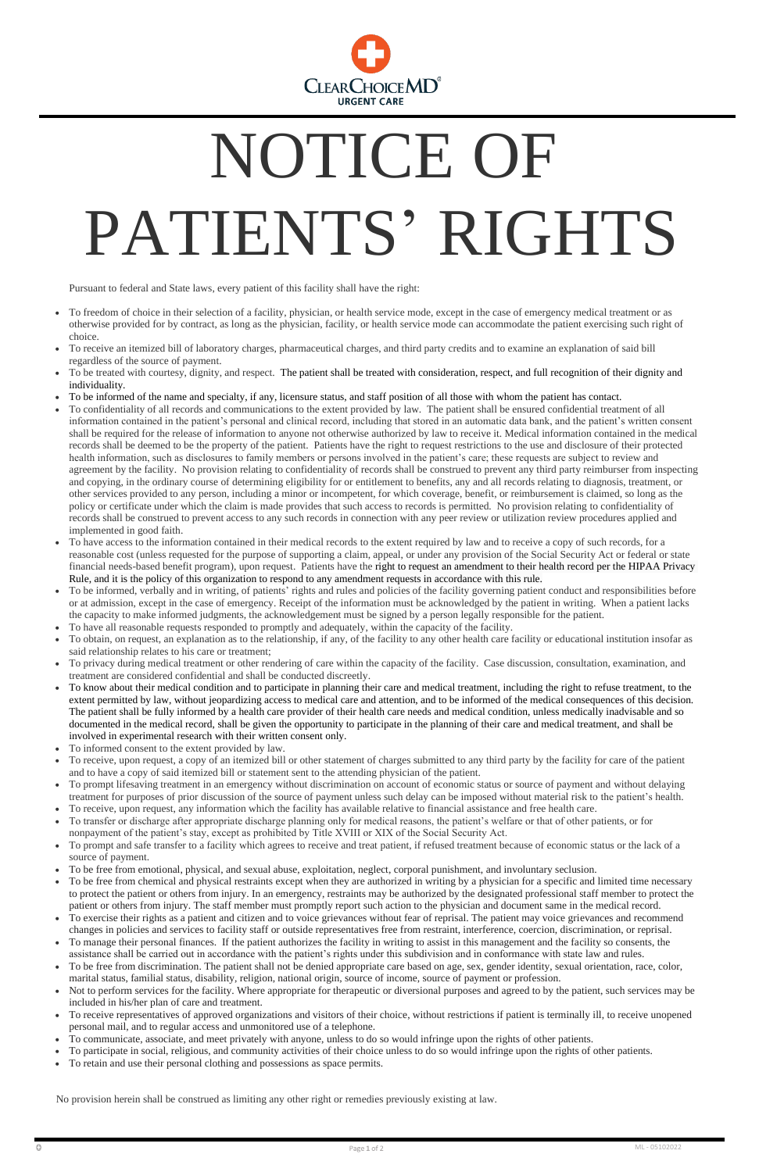

## NOTICE OF PATIENTS' RIGHTS

Pursuant to federal and State laws, every patient of this facility shall have the right:

- To freedom of choice in their selection of a facility, physician, or health service mode, except in the case of emergency medical treatment or as otherwise provided for by contract, as long as the physician, facility, or health service mode can accommodate the patient exercising such right of choice.
- To receive an itemized bill of laboratory charges, pharmaceutical charges, and third party credits and to examine an explanation of said bill regardless of the source of payment.
- To be treated with courtesy, dignity, and respect. The patient shall be treated with consideration, respect, and full recognition of their dignity and individuality.
- To be informed of the name and specialty, if any, licensure status, and staff position of all those with whom the patient has contact.
- To confidentiality of all records and communications to the extent provided by law. The patient shall be ensured confidential treatment of all information contained in the patient's personal and clinical record, including that stored in an automatic data bank, and the patient's written consent shall be required for the release of information to anyone not otherwise authorized by law to receive it. Medical information contained in the medical records shall be deemed to be the property of the patient. Patients have the right to request restrictions to the use and disclosure of their protected health information, such as disclosures to family members or persons involved in the patient's care; these requests are subject to review and agreement by the facility. No provision relating to confidentiality of records shall be construed to prevent any third party reimburser from inspecting and copying, in the ordinary course of determining eligibility for or entitlement to benefits, any and all records relating to diagnosis, treatment, or other services provided to any person, including a minor or incompetent, for which coverage, benefit, or reimbursement is claimed, so long as the policy or certificate under which the claim is made provides that such access to records is permitted. No provision relating to confidentiality of records shall be construed to prevent access to any such records in connection with any peer review or utilization review procedures applied and implemented in good faith.
- To have access to the information contained in their medical records to the extent required by law and to receive a copy of such records, for a reasonable cost (unless requested for the purpose of supporting a claim, appeal, or under any provision of the Social Security Act or federal or state financial needs-based benefit program), upon request. Patients have the right to request an amendment to their health record per the HIPAA Privacy Rule, and it is the policy of this organization to respond to any amendment requests in accordance with this rule.
- To be informed, verbally and in writing, of patients' rights and rules and policies of the facility governing patient conduct and responsibilities before or at admission, except in the case of emergency. Receipt of the information must be acknowledged by the patient in writing. When a patient lacks the capacity to make informed judgments, the acknowledgement must be signed by a person legally responsible for the patient.
- To have all reasonable requests responded to promptly and adequately, within the capacity of the facility.
- To obtain, on request, an explanation as to the relationship, if any, of the facility to any other health care facility or educational institution insofar as said relationship relates to his care or treatment;
- To privacy during medical treatment or other rendering of care within the capacity of the facility. Case discussion, consultation, examination, and treatment are considered confidential and shall be conducted discreetly.
- To know about their medical condition and to participate in planning their care and medical treatment, including the right to refuse treatment, to the extent permitted by law, without jeopardizing access to medical care and attention, and to be informed of the medical consequences of this decision. The patient shall be fully informed by a health care provider of their health care needs and medical condition, unless medically inadvisable and so documented in the medical record, shall be given the opportunity to participate in the planning of their care and medical treatment, and shall be involved in experimental research with their written consent only.
- To informed consent to the extent provided by law.
- To receive, upon request, a copy of an itemized bill or other statement of charges submitted to any third party by the facility for care of the patient and to have a copy of said itemized bill or statement sent to the attending physician of the patient.
- To prompt lifesaving treatment in an emergency without discrimination on account of economic status or source of payment and without delaying treatment for purposes of prior discussion of the source of payment unless such delay can be imposed without material risk to the patient's health. • To receive, upon request, any information which the facility has available relative to financial assistance and free health care.
- To transfer or discharge after appropriate discharge planning only for medical reasons, the patient's welfare or that of other patients, or for
- nonpayment of the patient's stay, except as prohibited by Title XVIII or XIX of the Social Security Act.
- To prompt and safe transfer to a facility which agrees to receive and treat patient, if refused treatment because of economic status or the lack of a source of payment.
- To be free from emotional, physical, and sexual abuse, exploitation, neglect, corporal punishment, and involuntary seclusion.
- To be free from chemical and physical restraints except when they are authorized in writing by a physician for a specific and limited time necessary to protect the patient or others from injury. In an emergency, restraints may be authorized by the designated professional staff member to protect the patient or others from injury. The staff member must promptly report such action to the physician and document same in the medical record.
- To exercise their rights as a patient and citizen and to voice grievances without fear of reprisal. The patient may voice grievances and recommend changes in policies and services to facility staff or outside representatives free from restraint, interference, coercion, discrimination, or reprisal.
- To manage their personal finances. If the patient authorizes the facility in writing to assist in this management and the facility so consents, the assistance shall be carried out in accordance with the patient's rights under this subdivision and in conformance with state law and rules.
- To be free from discrimination. The patient shall not be denied appropriate care based on age, sex, gender identity, sexual orientation, race, color, marital status, familial status, disability, religion, national origin, source of income, source of payment or profession.
- Not to perform services for the facility. Where appropriate for therapeutic or diversional purposes and agreed to by the patient, such services may be included in his/her plan of care and treatment.
- To receive representatives of approved organizations and visitors of their choice, without restrictions if patient is terminally ill, to receive unopened personal mail, and to regular access and unmonitored use of a telephone.
- To communicate, associate, and meet privately with anyone, unless to do so would infringe upon the rights of other patients.
- To participate in social, religious, and community activities of their choice unless to do so would infringe upon the rights of other patients.
- To retain and use their personal clothing and possessions as space permits.

No provision herein shall be construed as limiting any other right or remedies previously existing at law.